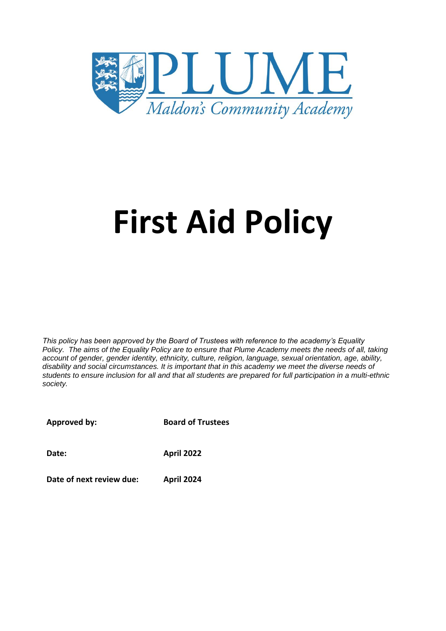

# **First Aid Policy**

*This policy has been approved by the Board of Trustees with reference to the academy's Equality Policy. The aims of the Equality Policy are to ensure that Plume Academy meets the needs of all, taking account of gender, gender identity, ethnicity, culture, religion, language, sexual orientation, age, ability, disability and social circumstances. It is important that in this academy we meet the diverse needs of students to ensure inclusion for all and that all students are prepared for full participation in a multi-ethnic society.*

**Approved by:**

**Board of Trustees**

**Date: April 2022**

**Date of next review due: April 2024**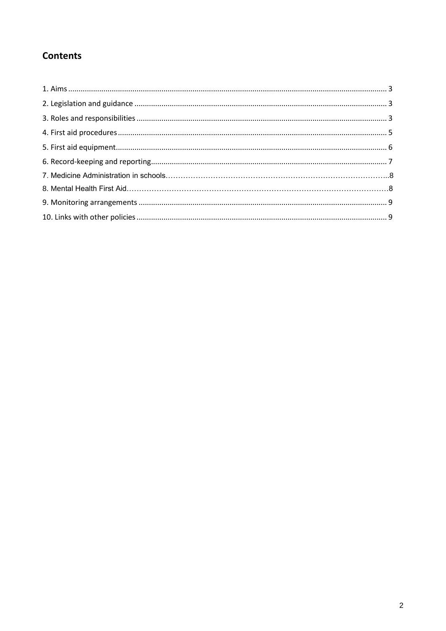# **Contents**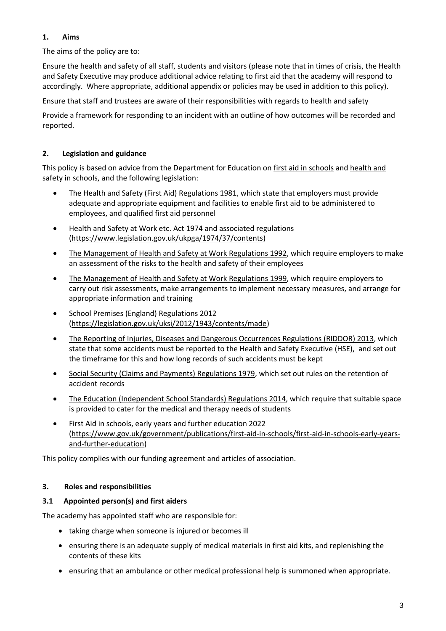# **1. Aims**

The aims of the policy are to:

Ensure the health and safety of all staff, students and visitors (please note that in times of crisis, the Health and Safety Executive may produce additional advice relating to first aid that the academy will respond to accordingly. Where appropriate, additional appendix or policies may be used in addition to this policy).

Ensure that staff and trustees are aware of their responsibilities with regards to health and safety

Provide a framework for responding to an incident with an outline of how outcomes will be recorded and reported.

# **2. Legislation and guidance**

This policy is based on advice from the Department for Education on [first aid in schools](https://www.gov.uk/government/publications/first-aid-in-schools) and health and [safety in schools,](https://www.gov.uk/government/publications/health-and-safety-advice-for-schools) and the following legislation:

- [The Health and Safety \(First Aid\) Regulations 1981,](http://www.legislation.gov.uk/uksi/1981/917/regulation/3/made) which state that employers must provide adequate and appropriate equipment and facilities to enable first aid to be administered to employees, and qualified first aid personnel
- Health and Safety at Work etc. Act 1974 and associated regulations [\(https://www.legislation.gov.uk/ukpga/1974/37/contents\)](https://www.legislation.gov.uk/ukpga/1974/37/contents)
- [The Management of Health and Safety at Work Regulations 1992,](http://www.legislation.gov.uk/uksi/1992/2051/regulation/3/made) which require employers to make an assessment of the risks to the health and safety of their employees
- [The Management of Health and Safety at Work Regulations 1999,](http://www.legislation.gov.uk/uksi/1999/3242/contents/made) which require employers to carry out risk assessments, make arrangements to implement necessary measures, and arrange for appropriate information and training
- School Premises (England) Regulations 2012 [\(https://legislation.gov.uk/uksi/2012/1943/contents/made\)](https://legislation.gov.uk/uksi/2012/1943/contents/made)
- [The Reporting of Injuries, Diseases and Dangerous Occurrences Regulations](http://www.legislation.gov.uk/uksi/2013/1471/schedule/1/paragraph/1/made) (RIDDOR) 2013, which state that some accidents must be reported to the Health and Safety Executive (HSE), and set out the timeframe for this and how long records of such accidents must be kept
- [Social Security \(Claims and Payments\) Regulations 1979,](http://www.legislation.gov.uk/uksi/1979/628) which set out rules on the retention of accident records
- The Education [\(Independent School Standards\) Regulations 2014,](http://www.legislation.gov.uk/uksi/2014/3283/schedule/made) which require that suitable space is provided to cater for the medical and therapy needs of students
- First Aid in schools, early years and further education 2022 [\(https://www.gov.uk/government/publications/first-aid-in-schools/first-aid-in-schools-early-years](https://www.gov.uk/government/publications/first-aid-in-schools/first-aid-in-schools-early-years-and-further-education)[and-further-education\)](https://www.gov.uk/government/publications/first-aid-in-schools/first-aid-in-schools-early-years-and-further-education)

This policy complies with our funding agreement and articles of association.

#### **3. Roles and responsibilities**

#### **3.1 Appointed person(s) and first aiders**

The academy has appointed staff who are responsible for:

- taking charge when someone is injured or becomes ill
- ensuring there is an adequate supply of medical materials in first aid kits, and replenishing the contents of these kits
- ensuring that an ambulance or other medical professional help is summoned when appropriate.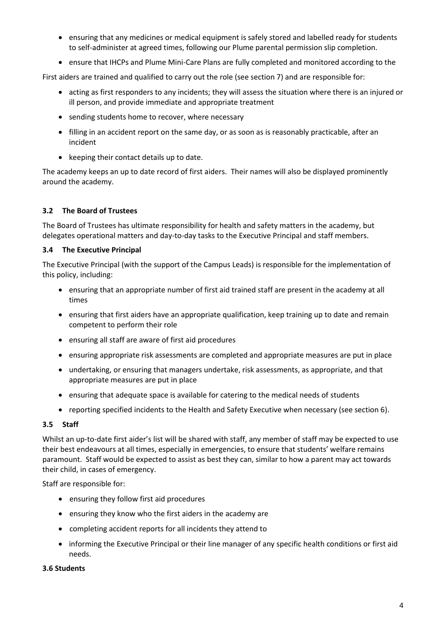- ensuring that any medicines or medical equipment is safely stored and labelled ready for students to self-administer at agreed times, following our Plume parental permission slip completion.
- ensure that IHCPs and Plume Mini-Care Plans are fully completed and monitored according to the

First aiders are trained and qualified to carry out the role (see section 7) and are responsible for:

- acting as first responders to any incidents; they will assess the situation where there is an injured or ill person, and provide immediate and appropriate treatment
- sending students home to recover, where necessary
- filling in an accident report on the same day, or as soon as is reasonably practicable, after an incident
- keeping their contact details up to date.

The academy keeps an up to date record of first aiders. Their names will also be displayed prominently around the academy.

#### **3.2 The Board of Trustees**

The Board of Trustees has ultimate responsibility for health and safety matters in the academy, but delegates operational matters and day-to-day tasks to the Executive Principal and staff members.

#### **3.4 The Executive Principal**

The Executive Principal (with the support of the Campus Leads) is responsible for the implementation of this policy, including:

- ensuring that an appropriate number of first aid trained staff are present in the academy at all times
- ensuring that first aiders have an appropriate qualification, keep training up to date and remain competent to perform their role
- ensuring all staff are aware of first aid procedures
- ensuring appropriate risk assessments are completed and appropriate measures are put in place
- undertaking, or ensuring that managers undertake, risk assessments, as appropriate, and that appropriate measures are put in place
- ensuring that adequate space is available for catering to the medical needs of students
- reporting specified incidents to the Health and Safety Executive when necessary (see section 6).

#### **3.5 Staff**

Whilst an up-to-date first aider's list will be shared with staff, any member of staff may be expected to use their best endeavours at all times, especially in emergencies, to ensure that students' welfare remains paramount. Staff would be expected to assist as best they can, similar to how a parent may act towards their child, in cases of emergency.

Staff are responsible for:

- ensuring they follow first aid procedures
- ensuring they know who the first aiders in the academy are
- completing accident reports for all incidents they attend to
- informing the Executive Principal or their line manager of any specific health conditions or first aid needs.

#### **3.6 Students**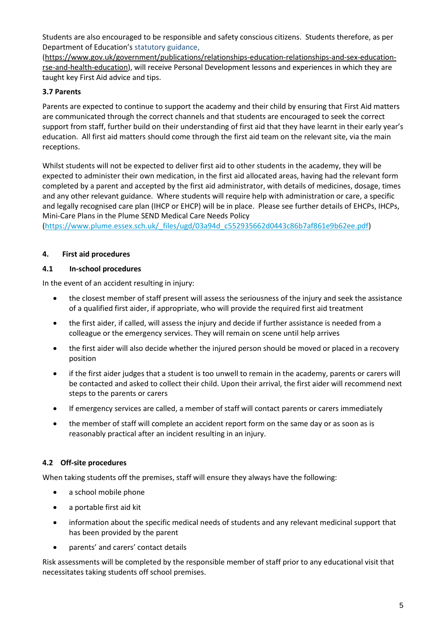Students are also encouraged to be responsible and safety conscious citizens. Students therefore, as per Department of Education's statutory guidance,

[\(https://www.gov.uk/government/publications/relationships-education-relationships-and-sex-education](https://www.gov.uk/government/publications/relationships-education-relationships-and-sex-education-rse-and-health-education)[rse-and-health-education\)](https://www.gov.uk/government/publications/relationships-education-relationships-and-sex-education-rse-and-health-education), will receive Personal Development lessons and experiences in which they are taught key First Aid advice and tips.

# **3.7 Parents**

Parents are expected to continue to support the academy and their child by ensuring that First Aid matters are communicated through the correct channels and that students are encouraged to seek the correct support from staff, further build on their understanding of first aid that they have learnt in their early year's education. All first aid matters should come through the first aid team on the relevant site, via the main receptions.

Whilst students will not be expected to deliver first aid to other students in the academy, they will be expected to administer their own medication, in the first aid allocated areas, having had the relevant form completed by a parent and accepted by the first aid administrator, with details of medicines, dosage, times and any other relevant guidance. Where students will require help with administration or care, a specific and legally recognised care plan (IHCP or EHCP) will be in place. Please see further details of EHCPs, IHCPs, Mini-Care Plans in the Plume SEND Medical Care Needs Policy

[\(https://www.plume.essex.sch.uk/\\_files/ugd/03a94d\\_c552935662d0443c86b7af861e9b62ee.pdf\)](https://www.plume.essex.sch.uk/_files/ugd/03a94d_c552935662d0443c86b7af861e9b62ee.pdf)

# **4. First aid procedures**

#### **4.1 In-school procedures**

In the event of an accident resulting in injury:

- the closest member of staff present will assess the seriousness of the injury and seek the assistance of a qualified first aider, if appropriate, who will provide the required first aid treatment
- the first aider, if called, will assess the injury and decide if further assistance is needed from a colleague or the emergency services. They will remain on scene until help arrives
- the first aider will also decide whether the injured person should be moved or placed in a recovery position
- if the first aider judges that a student is too unwell to remain in the academy, parents or carers will be contacted and asked to collect their child. Upon their arrival, the first aider will recommend next steps to the parents or carers
- If emergency services are called, a member of staff will contact parents or carers immediately
- the member of staff will complete an accident report form on the same day or as soon as is reasonably practical after an incident resulting in an injury.

#### **4.2 Off-site procedures**

When taking students off the premises, staff will ensure they always have the following:

- a school mobile phone
- a portable first aid kit
- information about the specific medical needs of students and any relevant medicinal support that has been provided by the parent
- parents' and carers' contact details

Risk assessments will be completed by the responsible member of staff prior to any educational visit that necessitates taking students off school premises.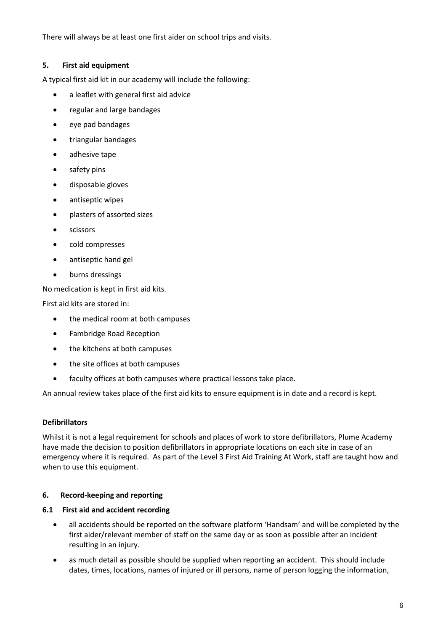There will always be at least one first aider on school trips and visits.

#### **5. First aid equipment**

A typical first aid kit in our academy will include the following:

- a leaflet with general first aid advice
- regular and large bandages
- eye pad bandages
- triangular bandages
- adhesive tape
- safety pins
- disposable gloves
- antiseptic wipes
- plasters of assorted sizes
- **•** scissors
- cold compresses
- antiseptic hand gel
- burns dressings

No medication is kept in first aid kits.

First aid kits are stored in:

- the medical room at both campuses
- Fambridge Road Reception
- the kitchens at both campuses
- the site offices at both campuses
- faculty offices at both campuses where practical lessons take place.

An annual review takes place of the first aid kits to ensure equipment is in date and a record is kept.

#### **Defibrillators**

Whilst it is not a legal requirement for schools and places of work to store defibrillators, Plume Academy have made the decision to position defibrillators in appropriate locations on each site in case of an emergency where it is required. As part of the Level 3 First Aid Training At Work, staff are taught how and when to use this equipment.

#### **6. Record-keeping and reporting**

#### **6.1 First aid and accident recording**

- all accidents should be reported on the software platform 'Handsam' and will be completed by the first aider/relevant member of staff on the same day or as soon as possible after an incident resulting in an injury.
- as much detail as possible should be supplied when reporting an accident. This should include dates, times, locations, names of injured or ill persons, name of person logging the information,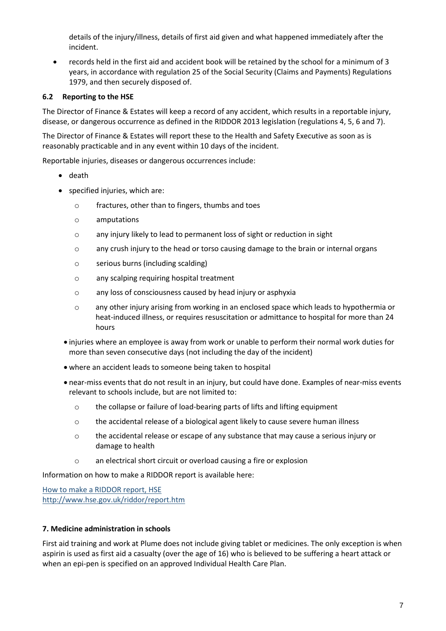details of the injury/illness, details of first aid given and what happened immediately after the incident.

 records held in the first aid and accident book will be retained by the school for a minimum of 3 years, in accordance with regulation 25 of the Social Security (Claims and Payments) Regulations 1979, and then securely disposed of.

# **6.2 Reporting to the HSE**

The Director of Finance & Estates will keep a record of any accident, which results in a reportable injury, disease, or dangerous occurrence as defined in the RIDDOR 2013 legislation (regulations 4, 5, 6 and 7).

The Director of Finance & Estates will report these to the Health and Safety Executive as soon as is reasonably practicable and in any event within 10 days of the incident.

Reportable injuries, diseases or dangerous occurrences include:

- death
- specified injuries, which are:
	- o fractures, other than to fingers, thumbs and toes
	- o amputations
	- o any injury likely to lead to permanent loss of sight or reduction in sight
	- o any crush injury to the head or torso causing damage to the brain or internal organs
	- o serious burns (including scalding)
	- o any scalping requiring hospital treatment
	- o any loss of consciousness caused by head injury or asphyxia
	- o any other injury arising from working in an enclosed space which leads to hypothermia or heat-induced illness, or requires resuscitation or admittance to hospital for more than 24 hours
	- injuries where an employee is away from work or unable to perform their normal work duties for more than seven consecutive days (not including the day of the incident)
	- where an accident leads to someone being taken to hospital
- near-miss events that do not result in an injury, but could have done. Examples of near-miss events relevant to schools include, but are not limited to:
	- o the collapse or failure of load-bearing parts of lifts and lifting equipment
	- $\circ$  the accidental release of a biological agent likely to cause severe human illness
	- o the accidental release or escape of any substance that may cause a serious injury or damage to health
	- o an electrical short circuit or overload causing a fire or explosion

Information on how to make a RIDDOR report is available here:

[How to make a RIDDOR report, HSE](http://www.hse.gov.uk/riddor/report.htm) <http://www.hse.gov.uk/riddor/report.htm>

#### **7. Medicine administration in schools**

First aid training and work at Plume does not include giving tablet or medicines. The only exception is when aspirin is used as first aid a casualty (over the age of 16) who is believed to be suffering a heart attack or when an epi-pen is specified on an approved Individual Health Care Plan.